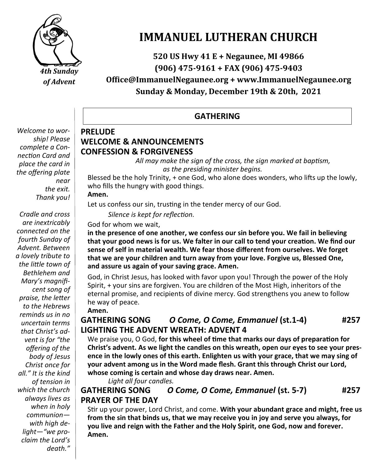

# **IMMANUEL LUTHERAN CHURCH**

**520 US Hwy 41 E + Negaunee, MI 49866 (906) 475-9161 + FAX (906) 475-9403**

**Office@ImmanuelNegaunee.org + www.ImmanuelNegaunee.org Sunday & Monday, December 19th & 20th, 2021**

### **GATHERING**

#### *Welcome to worship! Please complete a Connection Card and place the card in the offering plate near the exit. Thank you!*

*Cradle and cross are inextricably connected on the fourth Sunday of Advent. Between a lovely tribute to the little town of Bethlehem and Mary's magnificent song of praise, the letter to the Hebrews reminds us in no uncertain terms that Christ's advent is for "the offering of the body of Jesus Christ once for all." It is the kind of tension in which the church always lives as when in holy communion with high delight—"we proclaim the Lord's death."* 

#### **PRELUDE WELCOME & ANNOUNCEMENTS CONFESSION & FORGIVENESS**

*All may make the sign of the cross, the sign marked at baptism, as the presiding minister begins.*

Blessed be the holy Trinity, + one God, who alone does wonders, who lifts up the lowly, who fills the hungry with good things.

**Amen.**

Let us confess our sin, trusting in the tender mercy of our God.

*Silence is kept for reflection.*

God for whom we wait,

**in the presence of one another, we confess our sin before you. We fail in believing that your good news is for us. We falter in our call to tend your creation. We find our sense of self in material wealth. We fear those different from ourselves. We forget that we are your children and turn away from your love. Forgive us, Blessed One, and assure us again of your saving grace. Amen.**

God, in Christ Jesus, has looked with favor upon you! Through the power of the Holy Spirit, + your sins are forgiven. You are children of the Most High, inheritors of the eternal promise, and recipients of divine mercy. God strengthens you anew to follow he way of peace.

**Amen.**

## **GATHERING SONG** *O Come, O Come, Emmanuel* **(st.1-4) #257 LIGHTING THE ADVENT WREATH: ADVENT 4**

We praise you, O God, **for this wheel of time that marks our days of preparation for Christ's advent. As we light the candles on this wreath, open our eyes to see your presence in the lowly ones of this earth. Enlighten us with your grace, that we may sing of your advent among us in the Word made flesh. Grant this through Christ our Lord, whose coming is certain and whose day draws near. Amen.**

*Light all four candles.*

**GATHERING SONG** *O Come, O Come, Emmanuel* **(st. 5-7) #257 PRAYER OF THE DAY**

Stir up your power, Lord Christ, and come. **With your abundant grace and might, free us from the sin that binds us, that we may receive you in joy and serve you always, for you live and reign with the Father and the Holy Spirit, one God, now and forever. Amen.**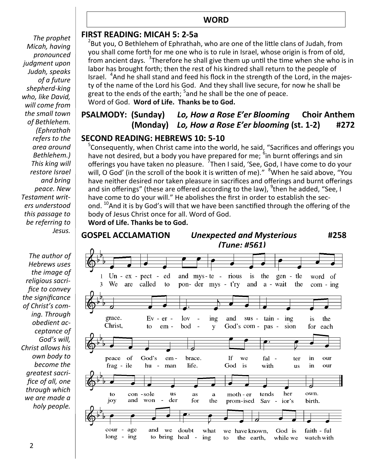#### **WORD**

*The prophet Micah, having pronounced judgment upon Judah, speaks of a future shepherd-king who, like David, will come from the small town of Bethlehem. (Ephrathah refers to the area around Bethlehem.) This king will restore Israel and bring peace. New Testament writers understood this passage to be referring to Jesus.*

*The author of Hebrews uses the image of religious sacrifice to convey the significance of Christ's coming. Through obedient acceptance of God's will, Christ allows his own body to become the greatest sacrifice of all, one through which we are made a holy people.* 

#### **FIRST READING: MICAH 5: 2-5a**

 $^{2}$ But you, O Bethlehem of Ephrathah, who are one of the little clans of Judah, from you shall come forth for me one who is to rule in Israel, whose origin is from of old, from ancient days. <sup>3</sup>Therefore he shall give them up until the time when she who is in labor has brought forth; then the rest of his kindred shall return to the people of Israel. <sup>4</sup> And he shall stand and feed his flock in the strength of the Lord, in the majesty of the name of the Lord his God. And they shall live secure, for now he shall be great to the ends of the earth; <sup>5</sup>and he shall be the one of peace. Word of God. **Word of Life. Thanks be to God.**

## **PSALMODY:****(Sunday)** *Lo, How a Rose E'er Blooming* **Choir Anthem (Monday)** *Lo, How a Rose E'er blooming* **(st. 1-2)****#272**

#### **SECOND READING: HEBREWS 10: 5-10**

<sup>5</sup>Consequently, when Christ came into the world, he said, "Sacrifices and offerings you have not desired, but a body you have prepared for me; <sup>6</sup>in burnt offerings and sin offerings you have taken no pleasure. <sup>7</sup>Then I said, 'See, God, I have come to do your will, O God' (in the scroll of the book it is written of me)." <sup>8</sup>When he said above, "You have neither desired nor taken pleasure in sacrifices and offerings and burnt offerings and sin offerings" (these are offered according to the law), <sup>9</sup>then he added, "See, I have come to do your will." He abolishes the first in order to establish the second. <sup>10</sup>And it is by God's will that we have been sanctified through the offering of the body of Jesus Christ once for all. Word of God. **Word of Life. Thanks be to God.** 

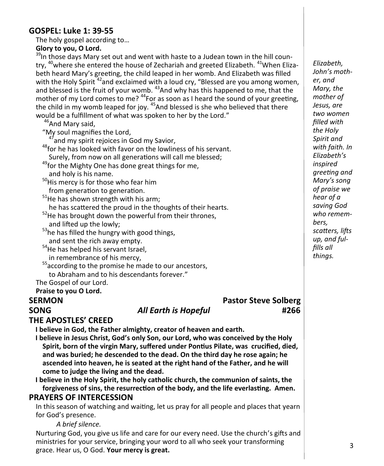#### **GOSPEL: Luke 1: 39-55**

The holy gospel according to…

**Glory to you, O Lord.**

<sup>39</sup>In those days Mary set out and went with haste to a Judean town in the hill country, <sup>40</sup>where she entered the house of Zechariah and greeted Elizabeth. <sup>41</sup>When Elizabeth heard Mary's greeting, the child leaped in her womb. And Elizabeth was filled with the Holy Spirit  $42$  and exclaimed with a loud cry, "Blessed are you among women, and blessed is the fruit of your womb. <sup>43</sup>And why has this happened to me, that the mother of my Lord comes to me?  $44$  For as soon as I heard the sound of your greeting, the child in my womb leaped for joy.<sup>45</sup>And blessed is she who believed that there would be a fulfillment of what was spoken to her by the Lord."

<sup>46</sup>And Mary said.

"My soul magnifies the Lord,

 $47$  and my spirit rejoices in God my Savior,

<sup>48</sup>for he has looked with favor on the lowliness of his servant. Surely, from now on all generations will call me blessed;

<sup>49</sup>for the Mighty One has done great things for me, and holy is his name.

<sup>50</sup>His mercy is for those who fear him

from generation to generation.

 $51$ He has shown strength with his arm;

he has scattered the proud in the thoughts of their hearts.

- $52$ He has brought down the powerful from their thrones, and lifted up the lowly;
- <sup>53</sup>he has filled the hungry with good things, and sent the rich away empty.

<sup>54</sup>He has helped his servant Israel, in remembrance of his mercy,

 $55$  according to the promise he made to our ancestors,

to Abraham and to his descendants forever."

The Gospel of our Lord.

#### **Praise to you O Lord.**

**SERMON Pastor Steve Solberg SONG** *All Earth is Hopeful* **#266**

#### **THE APOSTLES' CREED**

**I believe in God, the Father almighty, creator of heaven and earth.**

**I believe in Jesus Christ, God's only Son, our Lord, who was conceived by the Holy Spirit, born of the virgin Mary, suffered under Pontius Pilate, was crucified, died, and was buried; he descended to the dead. On the third day he rose again; he ascended into heaven, he is seated at the right hand of the Father, and he will come to judge the living and the dead.**

**I believe in the Holy Spirit, the holy catholic church, the communion of saints, the forgiveness of sins, the resurrection of the body, and the life everlasting. Amen.**

#### **PRAYERS OF INTERCESSION**

In this season of watching and waiting, let us pray for all people and places that yearn for God's presence.

*A brief silence.*

Nurturing God, you give us life and care for our every need. Use the church's gifts and ministries for your service, bringing your word to all who seek your transforming grace. Hear us, O God. **Your mercy is great.**

*Elizabeth, John's mother, and Mary, the mother of Jesus, are two women filled with the Holy Spirit and with faith. In Elizabeth's inspired greeting and Mary's song of praise we hear of a saving God who remembers, scatters, lifts up, and fulfills all things.*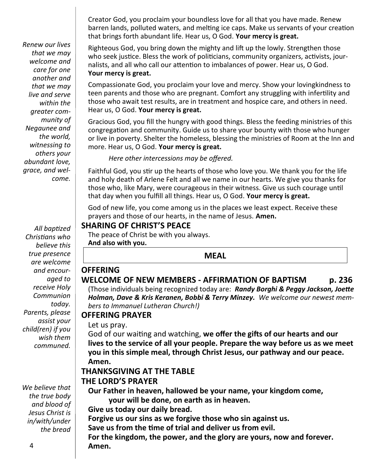Creator God, you proclaim your boundless love for all that you have made. Renew barren lands, polluted waters, and melting ice caps. Make us servants of your creation that brings forth abundant life. Hear us, O God. **Your mercy is great.**

Righteous God, you bring down the mighty and lift up the lowly. Strengthen those who seek justice. Bless the work of politicians, community organizers, activists, journalists, and all who call our attention to imbalances of power. Hear us, O God. **Your mercy is great.**

Compassionate God, you proclaim your love and mercy. Show your lovingkindness to teen parents and those who are pregnant. Comfort any struggling with infertility and those who await test results, are in treatment and hospice care, and others in need. Hear us, O God. **Your mercy is great.**

Gracious God, you fill the hungry with good things. Bless the feeding ministries of this congregation and community. Guide us to share your bounty with those who hunger or live in poverty. Shelter the homeless, blessing the ministries of Room at the Inn and more. Hear us, O God. **Your mercy is great.**

*Here other intercessions may be offered.*

Faithful God, you stir up the hearts of those who love you. We thank you for the life and holy death of Arlene Felt and all we name in our hearts. We give you thanks for those who, like Mary, were courageous in their witness. Give us such courage until that day when you fulfill all things. Hear us, O God. **Your mercy is great.**

God of new life, you come among us in the places we least expect. Receive these prayers and those of our hearts, in the name of Jesus. **Amen.**

#### **SHARING OF CHRIST'S PEACE**

The peace of Christ be with you always.

**And also with you.**

#### **MEAL**

## **WELCOME OF NEW MEMBERS - AFFIRMATION OF BAPTISM p. 236**

(Those individuals being recognized today are: *Randy Borghi & Peggy Jackson, Joette Holman, Dave & Kris Keranen, Bobbi & Terry Minzey. We welcome our newest members to Immanuel Lutheran Church!)*

#### **OFFERING PRAYER**

Let us pray.

**OFFERING**

God of our waiting and watching, **we offer the gifts of our hearts and our lives to the service of all your people. Prepare the way before us as we meet you in this simple meal, through Christ Jesus, our pathway and our peace. Amen.**

#### **THANKSGIVING AT THE TABLE**

#### **THE LORD'S PRAYER**

**Our Father in heaven, hallowed be your name, your kingdom come,** 

**your will be done, on earth as in heaven.**

**Give us today our daily bread.**

**Forgive us our sins as we forgive those who sin against us.**

**Save us from the time of trial and deliver us from evil.**

**For the kingdom, the power, and the glory are yours, now and forever. Amen.**

*Renew our lives that we may welcome and care for one another and that we may live and serve within the greater community of Negaunee and the world, witnessing to others your abundant love, grace, and welcome.*

*All baptized Christians who believe this true presence are welcome and encouraged to receive Holy Communion today. Parents, please assist your child(ren) if you wish them communed.*

*We believe that the true body and blood of Jesus Christ is in/with/under the bread*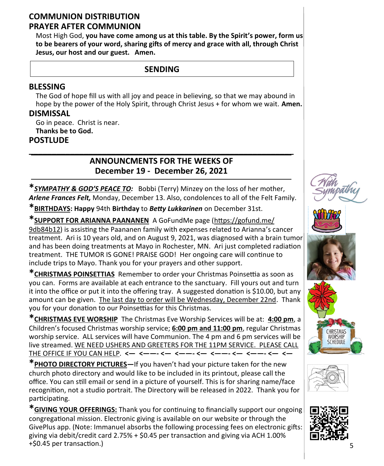#### **COMMUNION DISTRIBUTION PRAYER AFTER COMMUNION**

Most High God, **you have come among us at this table. By the Spirit's power, form us to be bearers of your word, sharing gifts of mercy and grace with all, through Christ Jesus, our host and our guest. Amen.**

## **SENDING**

### **BLESSING**

The God of hope fill us with all joy and peace in believing, so that we may abound in hope by the power of the Holy Spirit, through Christ Jesus + for whom we wait. **Amen.**

#### **DISMISSAL**

Go in peace. Christ is near. **Thanks be to God. POSTLUDE**

## **ANNOUNCMENTS FOR THE WEEKS OF December 19 - December 26, 2021**

**\_\_\_\_\_\_\_\_\_\_\_\_\_\_\_\_\_\_\_\_\_\_\_\_\_\_\_\_\_\_\_\_\_\_\_\_\_\_\_\_\_\_\_\_\_\_\_\_\_\_\_\_\_\_\_\_\_\_**

**\****SYMPATHY & GOD'S PEACE TO:* Bobbi (Terry) Minzey on the loss of her mother, *Arlene Frances Felt,* Monday, December 13. Also, condolences to all of the Felt Family.

**\*BIRTHDAYS: Happy** 94th **Birthday** to *Betty Lukkarinen* on December 31st.

**\*SUPPORT FOR ARIANNA PAANANEN** A GoFundMe page [\(https://gofund.me/](https://gofund.me/9db84b12)  [9db84b12\)](https://gofund.me/9db84b12) is assisting the Paananen family with expenses related to Arianna's cancer treatment. Ari is 10 years old, and on August 9, 2021, was diagnosed with a brain tumor and has been doing treatments at Mayo in Rochester, MN. Ari just completed radiation treatment. THE TUMOR IS GONE! PRAISE GOD! Her ongoing care will continue to include trips to Mayo. Thank you for your prayers and other support.

**\*CHRISTMAS POINSETTIAS** Remember to order your Christmas Poinsettia as soon as you can. Forms are available at each entrance to the sanctuary. Fill yours out and turn it into the office or put it into the offering tray. A suggested donation is \$10.00, but any amount can be given. The last day to order will be Wednesday, December 22nd. Thank you for your donation to our Poinsettias for this Christmas.

**\*CHRISTMAS EVE WORSHIP** The Christmas Eve Worship Services will be at: **4:00 pm**, a Children's focused Christmas worship service; **6:00 pm and 11:00 pm**, regular Christmas worship service. ALL services will have Communion. The 4 pm and 6 pm services will be live streamed. WE NEED USHERS AND GREETERS FOR THE 11PM SERVICE. PLEASE CALL THE OFFICE IF YOU CAN HELP. **<— <——- <— <——- <— <——- <— <——- <— <—**

**\*PHOTO DIRECTORY PICTURES—**If you haven't had your picture taken for the new church photo directory and would like to be included in its printout, please call the office. You can still email or send in a picture of yourself. This is for sharing name/face recognition, not a studio portrait. The Directory will be released in 2022. Thank you for participating.

**\*GIVING YOUR OFFERINGS:** Thank you for continuing to financially support our ongoing congregational mission. Electronic giving is available on our website or through the GivePlus app. (Note: Immanuel absorbs the following processing fees on electronic gifts: giving via debit/credit card 2.75% + \$0.45 per transaction and giving via ACH 1.00% +\$0.45 per transaction.)









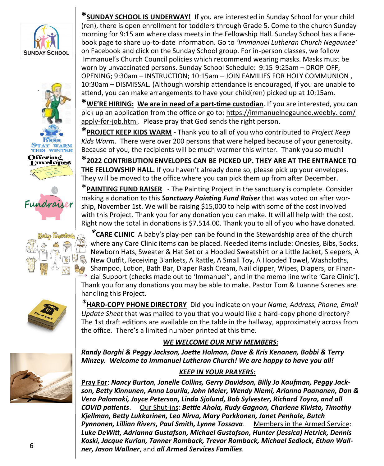











**\*SUNDAY SCHOOL IS UNDERWAY!** If you are interested in Sunday School for your child (ren), there is open enrollment for toddlers through Grade 5. Come to the church Sunday morning for 9:15 am where class meets in the Fellowship Hall. Sunday School has a Facebook page to share up-to-date information. Go to *'Immanuel Lutheran Church Negaunee'* on Facebook and click on the Sunday School group. For in-person classes, we follow Immanuel's Church Council policies which recommend wearing masks. Masks must be worn by unvaccinated persons. Sunday School Schedule: 9:15-9:25am – DROP-OFF, OPENING; 9:30am – INSTRUCTION; 10:15am – JOIN FAMILIES FOR HOLY COMMUNION , 10:30am – DISMISSAL. (Although worship attendance is encouraged, if you are unable to attend, you can make arrangements to have your child(ren) picked up at 10:15am.

**\*WE'RE HIRING: We are in need of a part-time custodian**. If you are interested, you can pick up an application from the office or go to: [https://immanuelnegaunee.weebly. com/](https://immanuelnegaunee.weebly.com/apply-for-job.html) apply-for-[job.html.](https://immanuelnegaunee.weebly.com/apply-for-job.html) Please pray that God sends the right person.

**\*PROJECT KEEP KIDS WARM** - Thank you to all of you who contributed to *Project Keep Kids Warm.* There were over 200 persons that were helped because of your generosity. Because of you, the recipients will be much warmer this winter. Thank you so much!

**\*2022 CONTRIBUTION ENVELOPES CAN BE PICKED UP. THEY ARE AT THE ENTRANCE TO THE FELLOWSHIP HALL.** If you haven't already done so, please pick up your envelopes. They will be moved to the office where you can pick them up from after December.

\***PAINTING FUND RAISER** - The Painting Project in the sanctuary is complete. Consider making a donation to this *Sanctuary Painting Fund Raiser* that was voted on after worship, November 1st. We will be raising \$15,000 to help with some of the cost involved with this Project. Thank you for any donation you can make. It will all help with the cost. Right now the total in donations is \$7,514.00. Thank you to all of you who have donated.

*\****CARE CLINIC** A baby's play-pen can be found in the Stewardship area of the church where any Care Clinic items can be placed. Needed items include: Onesies, Bibs, Socks, Newborn Hats, Sweater & Hat Set or a Hooded Sweatshirt or a Little Jacket, Sleepers, A New Outfit, Receiving Blankets, A Rattle, A Small Toy, A Hooded Towel, Washcloths, Shampoo, Lotion, Bath Bar, Diaper Rash Cream, Nail clipper, Wipes, Diapers, or Financial Support (checks made out to 'Immanuel", and in the memo line write 'Care Clinic'). Thank you for any donations you may be able to make. Pastor Tom & Luanne Skrenes are handling this Project.

*\****HARD-COPY PHONE DIRECTORY** Did you indicate on your *Name, Address, Phone, Email Update Sheet* that was mailed to you that you would like a hard-copy phone directory? The 1st draft editions are available on the table in the hallway, approximately across from the office. There's a limited number printed at this time.

#### *WE WELCOME OUR NEW MEMBERS:*

*Randy Borghi & Peggy Jackson, Joette Holman, Dave & Kris Kenanen, Bobbi & Terry Minzey. Welcome to Immanuel Lutheran Church! We are happy to have you all!* 

#### *KEEP IN YOUR PRAYERS:*

**Pray For**: *Nancy Burton, Jonelle Collins, Gerry Davidson, Billy Jo Kaufman, Peggy Jackson, Betty Kinnunen, Anna Laurila, John Meier, Wendy Niemi, Arianna Paananen, Don & Vera Palomaki, Joyce Peterson, Linda Sjolund, Bob Sylvester, Richard Toyra, and all COVID patients*. Our Shut-ins: *Bettie Ahola, Rudy Gagnon, Charlene Kivisto, Timothy Kjellman, Betty Lukkarinen, Leo Nirva, Mary Parkkonen, Janet Penhale, Butch Pynnonen, Lillian Rivers, Paul Smith, Lynne Tossava*. Members in the Armed Service: *Luke DeWitt, Adrianna Gustafson, Michael Gustafson, Hunter (Jessica) Hetrick, Dennis Koski, Jacque Kurian, Tanner Romback, Trevor Romback, Michael Sedlock, Ethan Wallner, Jason Wallner*, and *all Armed Services Families.*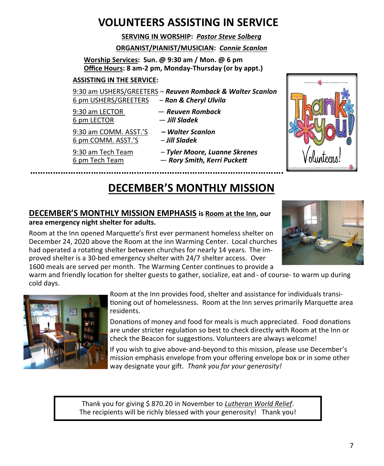# **VOLUNTEERS ASSISTING IN SERVICE**

**SERVING IN WORSHIP:** *Pastor Steve Solberg*

#### **ORGANIST/PIANIST/MUSICIAN:** *Connie Scanlon*

**Worship Services: Sun. @ 9:30 am / Mon. @ 6 pm Office Hours: 8 am-2 pm, Monday-Thursday (or by appt.)**

#### **ASSISTING IN THE SERVICE:**

9:30 am USHERS/GREETERS – *Reuven Romback & Walter Scanlon* 6 pm USHERS/GREETERS – *Ron & Cheryl Ulvila*

9:30 am LECTOR — *Reuven Romback*

9:30 am COMM. ASST.'S *– Walter Scanlon* 6 pm COMM. ASST.'S – *Jill Sladek*

- 
- 6 pm LECTOR *Jill Sladek*
	-
- 9:30 am Tech Team *Tyler Moore, Luanne Skrenes* 6 pm Tech Team — *Rory Smith, Kerri Puckett*



# **DECEMBER'S MONTHLY MISSION**

#### **DECEMBER'S MONTHLY MISSION EMPHASIS is Room at the Inn, our area emergency night shelter for adults.**

Room at the Inn opened Marquette's first ever permanent homeless shelter on December 24, 2020 above the Room at the inn Warming Center. Local churches had operated a rotating shelter between churches for nearly 14 years. The improved shelter is a 30-bed emergency shelter with 24/7 shelter access. Over 1600 meals are served per month. The Warming Center continues to provide a



warm and friendly location for shelter guests to gather, socialize, eat and - of course- to warm up during cold days.



Room at the Inn provides food, shelter and assistance for individuals transitioning out of homelessness. Room at the Inn serves primarily Marquette area residents.

Donations of money and food for meals is much appreciated. Food donations are under stricter regulation so best to check directly with Room at the Inn or check the Beacon for suggestions. Volunteers are always welcome!

If you wish to give above-and-beyond to this mission, please use December's mission emphasis envelope from your offering envelope box or in some other way designate your gift. *Thank you for your generosity!* 

Thank you for giving \$ 870.20 in November to *Lutheran World Relief*. The recipients will be richly blessed with your generosity! Thank you!